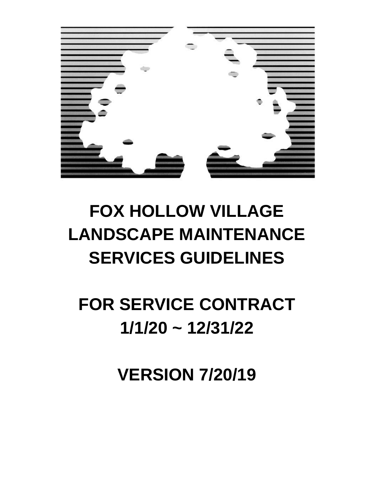

# **FOX HOLLOW VILLAGE LANDSCAPE MAINTENANCE SERVICES GUIDELINES**

**FOR SERVICE CONTRACT 1/1/20 ~ 12/31/22**

**VERSION 7/20/19**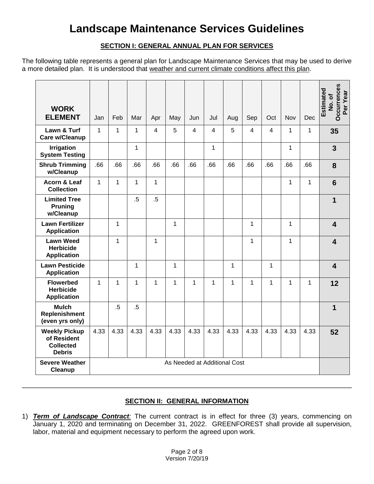# **SECTION I: GENERAL ANNUAL PLAN FOR SERVICES**

The following table represents a general plan for Landscape Maintenance Services that may be used to derive a more detailed plan. It is understood that weather and current climate conditions affect this plan.

| <b>WORK</b><br><b>ELEMENT</b>                                            | Jan                          | Feb          | Mar          | Apr         | May          | Jun            | Jul            | Aug          | Sep            | Oct  | Nov          | Dec  | <b>Occurrences</b><br>Estimated<br>Per Year<br>No. of |
|--------------------------------------------------------------------------|------------------------------|--------------|--------------|-------------|--------------|----------------|----------------|--------------|----------------|------|--------------|------|-------------------------------------------------------|
| Lawn & Turf<br>Care w/Cleanup                                            | $\mathbf{1}$                 | $\mathbf{1}$ | $\mathbf{1}$ | 4           | 5            | $\overline{4}$ | $\overline{4}$ | 5            | $\overline{4}$ | 4    | $\mathbf{1}$ | 1    | 35                                                    |
| <b>Irrigation</b><br><b>System Testing</b>                               |                              |              | 1            |             |              |                | 1              |              |                |      | 1            |      | 3                                                     |
| <b>Shrub Trimming</b><br>w/Cleanup                                       | .66                          | .66          | .66          | .66         | .66          | .66            | .66            | .66          | .66            | .66  | .66          | .66  | 8                                                     |
| Acorn & Leaf<br><b>Collection</b>                                        | $\mathbf{1}$                 | $\mathbf{1}$ | 1            | $\mathbf 1$ |              |                |                |              |                |      | 1            | 1    | $6\phantom{1}6$                                       |
| <b>Limited Tree</b><br><b>Pruning</b><br>w/Cleanup                       |                              |              | $.5\,$       | $.5\,$      |              |                |                |              |                |      |              |      | 1                                                     |
| <b>Lawn Fertilizer</b><br><b>Application</b>                             |                              | 1            |              |             | $\mathbf{1}$ |                |                |              | 1              |      | 1            |      | $\overline{\mathbf{4}}$                               |
| <b>Lawn Weed</b><br><b>Herbicide</b><br><b>Application</b>               |                              | $\mathbf{1}$ |              | $\mathbf 1$ |              |                |                |              | $\mathbf 1$    |      | 1            |      | $\overline{\mathbf{4}}$                               |
| <b>Lawn Pesticide</b><br><b>Application</b>                              |                              |              | 1            |             | $\mathbf{1}$ |                |                | $\mathbf{1}$ |                | 1    |              |      | $\overline{\mathbf{4}}$                               |
| <b>Flowerbed</b><br><b>Herbicide</b><br><b>Application</b>               | $\mathbf{1}$                 | $\mathbf{1}$ | 1            | 1           | $\mathbf{1}$ | $\mathbf{1}$   | 1              | 1            | $\mathbf{1}$   | 1    | 1            | 1    | 12                                                    |
| <b>Mulch</b><br><b>Replenishment</b><br>(even yrs only)                  |                              | .5           | $.5\,$       |             |              |                |                |              |                |      |              |      | 1                                                     |
| <b>Weekly Pickup</b><br>of Resident<br><b>Collected</b><br><b>Debris</b> | 4.33                         | 4.33         | 4.33         | 4.33        | 4.33         | 4.33           | 4.33           | 4.33         | 4.33           | 4.33 | 4.33         | 4.33 | 52                                                    |
| <b>Severe Weather</b><br>Cleanup                                         | As Needed at Additional Cost |              |              |             |              |                |                |              |                |      |              |      |                                                       |

# **SECTION II: GENERAL INFORMATION**

1) *Term of Landscape Contract:* The current contract is in effect for three (3) years, commencing on January 1, 2020 and terminating on December 31, 2022. GREENFOREST shall provide all supervision, labor, material and equipment necessary to perform the agreed upon work.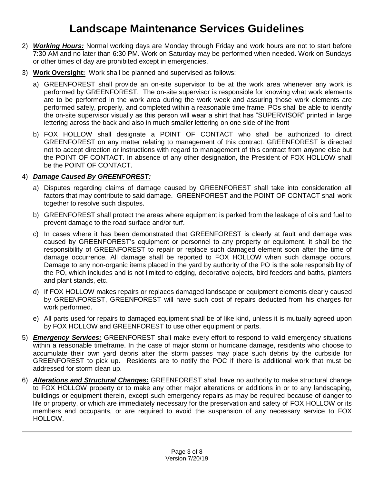- 2) *Working Hours:* Normal working days are Monday through Friday and work hours are not to start before 7:30 AM and no later than 6:30 PM. Work on Saturday may be performed when needed. Work on Sundays or other times of day are prohibited except in emergencies.
- 3) **Work Oversight:** Work shall be planned and supervised as follows:
	- a) GREENFOREST shall provide an on-site supervisor to be at the work area whenever any work is performed by GREENFOREST. The on-site supervisor is responsible for knowing what work elements are to be performed in the work area during the work week and assuring those work elements are performed safely, properly, and completed within a reasonable time frame. POs shall be able to identify the on-site supervisor visually as this person will wear a shirt that has "SUPERVISOR" printed in large lettering across the back and also in much smaller lettering on one side of the front
	- b) FOX HOLLOW shall designate a POINT OF CONTACT who shall be authorized to direct GREENFOREST on any matter relating to management of this contract. GREENFOREST is directed not to accept direction or instructions with regard to management of this contract from anyone else but the POINT OF CONTACT. In absence of any other designation, the President of FOX HOLLOW shall be the POINT OF CONTACT.

## 4) *Damage Caused By GREENFOREST:*

- a) Disputes regarding claims of damage caused by GREENFOREST shall take into consideration all factors that may contribute to said damage. GREENFOREST and the POINT OF CONTACT shall work together to resolve such disputes.
- b) GREENFOREST shall protect the areas where equipment is parked from the leakage of oils and fuel to prevent damage to the road surface and/or turf.
- c) In cases where it has been demonstrated that GREENFOREST is clearly at fault and damage was caused by GREENFOREST's equipment or personnel to any property or equipment, it shall be the responsibility of GREENFOREST to repair or replace such damaged element soon after the time of damage occurrence. All damage shall be reported to FOX HOLLOW when such damage occurs. Damage to any non-organic items placed in the yard by authority of the PO is the sole responsibility of the PO, which includes and is not limited to edging, decorative objects, bird feeders and baths, planters and plant stands, etc.
- d) If FOX HOLLOW makes repairs or replaces damaged landscape or equipment elements clearly caused by GREENFOREST, GREENFOREST will have such cost of repairs deducted from his charges for work performed.
- e) All parts used for repairs to damaged equipment shall be of like kind, unless it is mutually agreed upon by FOX HOLLOW and GREENFOREST to use other equipment or parts.
- 5) *Emergency Services:* GREENFOREST shall make every effort to respond to valid emergency situations within a reasonable timeframe. In the case of major storm or hurricane damage, residents who choose to accumulate their own yard debris after the storm passes may place such debris by the curbside for GREENFOREST to pick up. Residents are to notify the POC if there is additional work that must be addressed for storm clean up.
- 6) *Alterations and Structural Changes:* GREENFOREST shall have no authority to make structural change to FOX HOLLOW property or to make any other major alterations or additions in or to any landscaping, buildings or equipment therein, except such emergency repairs as may be required because of danger to life or property, or which are immediately necessary for the preservation and safety of FOX HOLLOW or its members and occupants, or are required to avoid the suspension of any necessary service to FOX HOLLOW.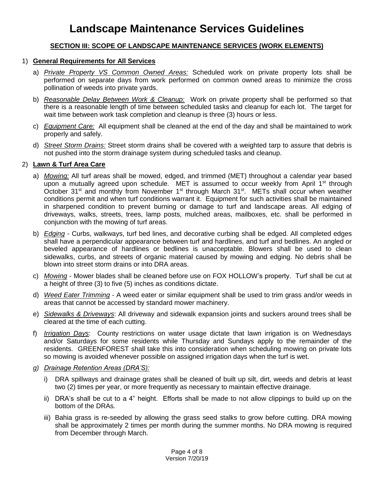# **SECTION III: SCOPE OF LANDSCAPE MAINTENANCE SERVICES (WORK ELEMENTS)**

#### 1) **General Requirements for All Services**

- a) *Private Property VS Common Owned Areas:* Scheduled work on private property lots shall be performed on separate days from work performed on common owned areas to minimize the cross pollination of weeds into private yards.
- b) *Reasonable Delay Between Work & Cleanup:* Work on private property shall be performed so that there is a reasonable length of time between scheduled tasks and cleanup for each lot. The target for wait time between work task completion and cleanup is three (3) hours or less.
- c) *Equipment Care:* All equipment shall be cleaned at the end of the day and shall be maintained to work properly and safely.
- d) *Street Storm Drains:* Street storm drains shall be covered with a weighted tarp to assure that debris is not pushed into the storm drainage system during scheduled tasks and cleanup.

#### 2) **Lawn & Turf Area Care**

- a) *Mowing:* All turf areas shall be mowed, edged, and trimmed (MET) throughout a calendar year based upon a mutually agreed upon schedule. MET is assumed to occur weekly from April 1<sup>st</sup> through October 31<sup>st</sup> and monthly from November 1<sup>st</sup> through March 31<sup>st</sup>. METs shall occur when weather conditions permit and when turf conditions warrant it. Equipment for such activities shall be maintained in sharpened condition to prevent burning or damage to turf and landscape areas. All edging of driveways, walks, streets, trees, lamp posts, mulched areas, mailboxes, etc. shall be performed in conjunction with the mowing of turf areas.
- b) *Edging* Curbs, walkways, turf bed lines, and decorative curbing shall be edged. All completed edges shall have a perpendicular appearance between turf and hardlines, and turf and bedlines. An angled or beveled appearance of hardlines or bedlines is unacceptable. Blowers shall be used to clean sidewalks, curbs, and streets of organic material caused by mowing and edging. No debris shall be blown into street storm drains or into DRA areas.
- c) *Mowing* Mower blades shall be cleaned before use on FOX HOLLOW's property. Turf shall be cut at a height of three (3) to five (5) inches as conditions dictate.
- d) *Weed Eater Trimming* A weed eater or similar equipment shall be used to trim grass and/or weeds in areas that cannot be accessed by standard mower machinery.
- e) *Sidewalks & Driveways*: All driveway and sidewalk expansion joints and suckers around trees shall be cleared at the time of each cutting.
- f) *Irrigation Days*: County restrictions on water usage dictate that lawn irrigation is on Wednesdays and/or Saturdays for some residents while Thursday and Sundays apply to the remainder of the residents. GREENFOREST shall take this into consideration when scheduling mowing on private lots so mowing is avoided whenever possible on assigned irrigation days when the turf is wet.
- *g) Drainage Retention Areas (DRA'S):*
	- i) DRA spillways and drainage grates shall be cleaned of built up silt, dirt, weeds and debris at least two (2) times per year, or more frequently as necessary to maintain effective drainage.
	- ii) DRA's shall be cut to a 4" height. Efforts shall be made to not allow clippings to build up on the bottom of the DRAs.
	- iii) Bahia grass is re-seeded by allowing the grass seed stalks to grow before cutting. DRA mowing shall be approximately 2 times per month during the summer months. No DRA mowing is required from December through March.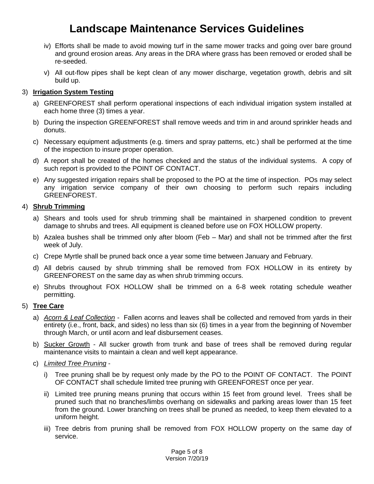- iv) Efforts shall be made to avoid mowing turf in the same mower tracks and going over bare ground and ground erosion areas. Any areas in the DRA where grass has been removed or eroded shall be re-seeded.
- v) All out-flow pipes shall be kept clean of any mower discharge, vegetation growth, debris and silt build up.

## 3) **Irrigation System Testing**

- a) GREENFOREST shall perform operational inspections of each individual irrigation system installed at each home three (3) times a year.
- b) During the inspection GREENFOREST shall remove weeds and trim in and around sprinkler heads and donuts.
- c) Necessary equipment adjustments (e.g. timers and spray patterns, etc.) shall be performed at the time of the inspection to insure proper operation.
- d) A report shall be created of the homes checked and the status of the individual systems. A copy of such report is provided to the POINT OF CONTACT.
- e) Any suggested irrigation repairs shall be proposed to the PO at the time of inspection. POs may select any irrigation service company of their own choosing to perform such repairs including GREENFOREST.

## 4) **Shrub Trimming**

- a) Shears and tools used for shrub trimming shall be maintained in sharpened condition to prevent damage to shrubs and trees. All equipment is cleaned before use on FOX HOLLOW property.
- b) Azalea bushes shall be trimmed only after bloom (Feb Mar) and shall not be trimmed after the first week of July.
- c) Crepe Myrtle shall be pruned back once a year some time between January and February.
- d) All debris caused by shrub trimming shall be removed from FOX HOLLOW in its entirety by GREENFOREST on the same day as when shrub trimming occurs.
- e) Shrubs throughout FOX HOLLOW shall be trimmed on a 6-8 week rotating schedule weather permitting.

# 5) **Tree Care**

- a) *Acorn & Leaf Collection* Fallen acorns and leaves shall be collected and removed from yards in their entirety (i.e., front, back, and sides) no less than six (6) times in a year from the beginning of November through March, or until acorn and leaf disbursement ceases.
- b) Sucker Growth All sucker growth from trunk and base of trees shall be removed during regular maintenance visits to maintain a clean and well kept appearance.
- c) *Limited Tree Pruning*
	- i) Tree pruning shall be by request only made by the PO to the POINT OF CONTACT. The POINT OF CONTACT shall schedule limited tree pruning with GREENFOREST once per year.
	- ii) Limited tree pruning means pruning that occurs within 15 feet from ground level. Trees shall be pruned such that no branches/limbs overhang on sidewalks and parking areas lower than 15 feet from the ground. Lower branching on trees shall be pruned as needed, to keep them elevated to a uniform height.
	- iii) Tree debris from pruning shall be removed from FOX HOLLOW property on the same day of service.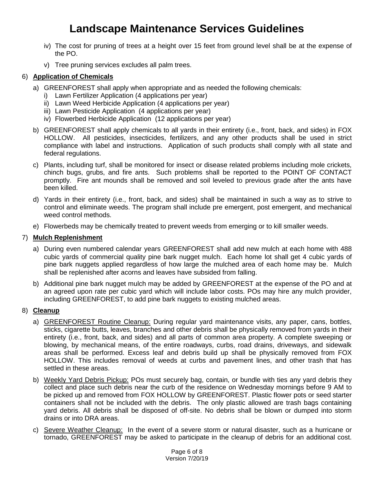- iv) The cost for pruning of trees at a height over 15 feet from ground level shall be at the expense of the PO.
- v) Tree pruning services excludes all palm trees.

#### 6) **Application of Chemicals**

- a) GREENFOREST shall apply when appropriate and as needed the following chemicals:
	- i) Lawn Fertilizer Application (4 applications per year)
	- ii) Lawn Weed Herbicide Application (4 applications per year)
	- iii) Lawn Pesticide Application (4 applications per year)
	- iv) Flowerbed Herbicide Application (12 applications per year)
- b) GREENFOREST shall apply chemicals to all yards in their entirety (i.e., front, back, and sides) in FOX HOLLOW. All pesticides, insecticides, fertilizers, and any other products shall be used in strict compliance with label and instructions. Application of such products shall comply with all state and federal regulations.
- c) Plants, including turf, shall be monitored for insect or disease related problems including mole crickets, chinch bugs, grubs, and fire ants. Such problems shall be reported to the POINT OF CONTACT promptly. Fire ant mounds shall be removed and soil leveled to previous grade after the ants have been killed.
- d) Yards in their entirety (i.e., front, back, and sides) shall be maintained in such a way as to strive to control and eliminate weeds. The program shall include pre emergent, post emergent, and mechanical weed control methods.
- e) Flowerbeds may be chemically treated to prevent weeds from emerging or to kill smaller weeds.

#### 7) **Mulch Replenishment**

- a) During even numbered calendar years GREENFOREST shall add new mulch at each home with 488 cubic yards of commercial quality pine bark nugget mulch. Each home lot shall get 4 cubic yards of pine bark nuggets applied regardless of how large the mulched area of each home may be. Mulch shall be replenished after acorns and leaves have subsided from falling.
- b) Additional pine bark nugget mulch may be added by GREENFOREST at the expense of the PO and at an agreed upon rate per cubic yard which will include labor costs. POs may hire any mulch provider, including GREENFOREST, to add pine bark nuggets to existing mulched areas.

#### 8) **Cleanup**

- a) GREENFOREST Routine Cleanup: During regular yard maintenance visits, any paper, cans, bottles, sticks, cigarette butts, leaves, branches and other debris shall be physically removed from yards in their entirety (i.e., front, back, and sides) and all parts of common area property. A complete sweeping or blowing, by mechanical means, of the entire roadways, curbs, road drains, driveways, and sidewalk areas shall be performed. Excess leaf and debris build up shall be physically removed from FOX HOLLOW. This includes removal of weeds at curbs and pavement lines, and other trash that has settled in these areas.
- b) Weekly Yard Debris Pickup: POs must securely bag, contain, or bundle with ties any yard debris they collect and place such debris near the curb of the residence on Wednesday mornings before 9 AM to be picked up and removed from FOX HOLLOW by GREENFOREST. Plastic flower pots or seed starter containers shall not be included with the debris. The only plastic allowed are trash bags containing yard debris. All debris shall be disposed of off-site. No debris shall be blown or dumped into storm drains or into DRA areas.
- c) Severe Weather Cleanup: In the event of a severe storm or natural disaster, such as a hurricane or tornado, GREENFOREST may be asked to participate in the cleanup of debris for an additional cost.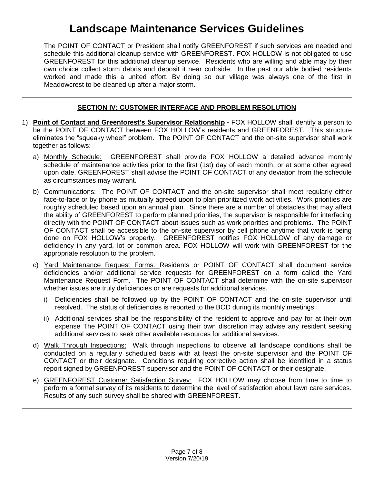The POINT OF CONTACT or President shall notify GREENFOREST if such services are needed and schedule this additional cleanup service with GREENFOREST. FOX HOLLOW is not obligated to use GREENFOREST for this additional cleanup service. Residents who are willing and able may by their own choice collect storm debris and deposit it near curbside. In the past our able bodied residents worked and made this a united effort. By doing so our village was always one of the first in Meadowcrest to be cleaned up after a major storm.

# **SECTION IV: CUSTOMER INTERFACE AND PROBLEM RESOLUTION**

- 1) **Point of Contact and Greenforest's Supervisor Relationship -** FOX HOLLOW shall identify a person to be the POINT OF CONTACT between FOX HOLLOW's residents and GREENFOREST. This structure eliminates the "squeaky wheel" problem. The POINT OF CONTACT and the on-site supervisor shall work together as follows:
	- a) Monthly Schedule: GREENFOREST shall provide FOX HOLLOW a detailed advance monthly schedule of maintenance activities prior to the first (1st) day of each month, or at some other agreed upon date. GREENFOREST shall advise the POINT OF CONTACT of any deviation from the schedule as circumstances may warrant.
	- b) Communications: The POINT OF CONTACT and the on-site supervisor shall meet regularly either face-to-face or by phone as mutually agreed upon to plan prioritized work activities. Work priorities are roughly scheduled based upon an annual plan. Since there are a number of obstacles that may affect the ability of GREENFOREST to perform planned priorities, the supervisor is responsible for interfacing directly with the POINT OF CONTACT about issues such as work priorities and problems. The POINT OF CONTACT shall be accessible to the on-site supervisor by cell phone anytime that work is being done on FOX HOLLOW's property. GREENFOREST notifies FOX HOLLOW of any damage or deficiency in any yard, lot or common area. FOX HOLLOW will work with GREENFOREST for the appropriate resolution to the problem.
	- c) Yard Maintenance Request Forms: Residents or POINT OF CONTACT shall document service deficiencies and/or additional service requests for GREENFOREST on a form called the Yard Maintenance Request Form. The POINT OF CONTACT shall determine with the on-site supervisor whether issues are truly deficiencies or are requests for additional services.
		- i) Deficiencies shall be followed up by the POINT OF CONTACT and the on-site supervisor until resolved. The status of deficiencies is reported to the BOD during its monthly meetings.
		- ii) Additional services shall be the responsibility of the resident to approve and pay for at their own expense The POINT OF CONTACT using their own discretion may advise any resident seeking additional services to seek other available resources for additional services.
	- d) Walk Through Inspections: Walk through inspections to observe all landscape conditions shall be conducted on a regularly scheduled basis with at least the on-site supervisor and the POINT OF CONTACT or their designate. Conditions requiring corrective action shall be identified in a status report signed by GREENFOREST supervisor and the POINT OF CONTACT or their designate.
	- e) GREENFOREST Customer Satisfaction Survey: FOX HOLLOW may choose from time to time to perform a formal survey of its residents to determine the level of satisfaction about lawn care services. Results of any such survey shall be shared with GREENFOREST.